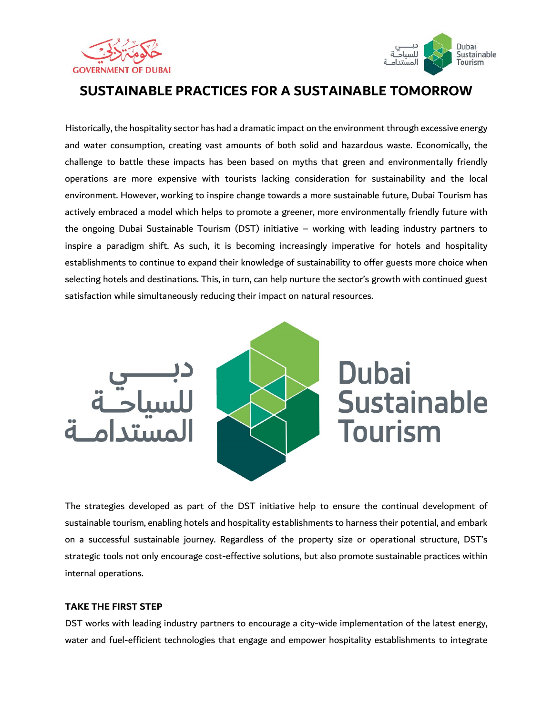



## **SUSTAINABLE PRACTICES FOR A SUSTAINABLE TOMORROW**

Historically, the hospitality sector has had a dramatic impact on the environment through excessive energy and water consumption, creating vast amounts of both solid and hazardous waste. Economically, the challenge to battle these impacts has been based on myths that green and environmentally friendly operations are more expensive with tourists lacking consideration for sustainability and the local environment. However, working to inspire change towards a more sustainable future, Dubai Tourism has actively embraced a model which helps to promote a greener, more environmentally friendly future with the ongoing Dubai Sustainable Tourism (DST) initiative – working with leading industry partners to inspire a paradigm shift. As such, it is becoming increasingly imperative for hotels and hospitality establishments to continue to expand their knowledge of sustainability to offer guests more choice when selecting hotels and destinations. This, in turn, can help nurture the sector's growth with continued guest satisfaction while simultaneously reducing their impact on natural resources.





**Dubai Sustainable** Tourism

The strategies developed as part of the DST initiative help to ensure the continual development of sustainable tourism, enabling hotels and hospitality establishments to harness their potential, and embark on a successful sustainable journey. Regardless of the property size or operational structure, DST's strategic tools not only encourage cost-effective solutions, but also promote sustainable practices within internal operations.

## **TAKE THE FIRST STEP**

DST works with leading industry partners to encourage a city-wide implementation of the latest energy, water and fuel-efficient technologies that engage and empower hospitality establishments to integrate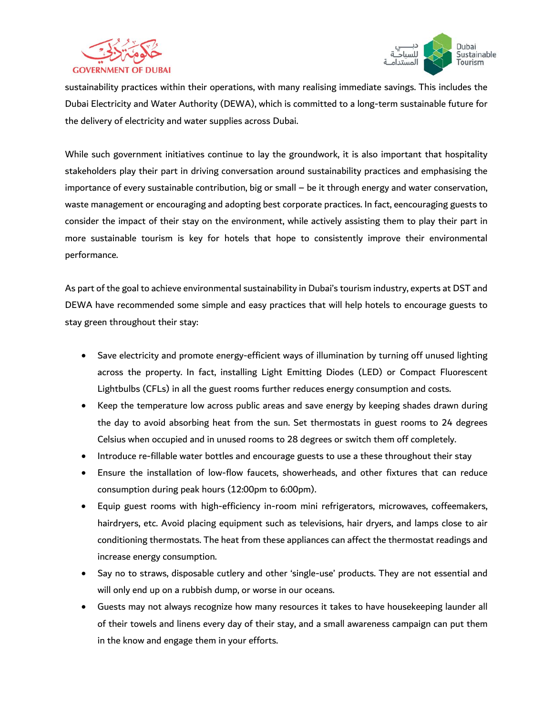



sustainability practices within their operations, with many realising immediate savings. This includes the Dubai Electricity and Water Authority (DEWA), which is committed to a long-term sustainable future for the delivery of electricity and water supplies across Dubai.

While such government initiatives continue to lay the groundwork, it is also important that hospitality stakeholders play their part in driving conversation around sustainability practices and emphasising the importance of every sustainable contribution, big or small – be it through energy and water conservation, waste management or encouraging and adopting best corporate practices. In fact, eencouraging guests to consider the impact of their stay on the environment, while actively assisting them to play their part in more sustainable tourism is key for hotels that hope to consistently improve their environmental performance.

As part of the goal to achieve environmental sustainability in Dubai's tourism industry, experts at DST and DEWA have recommended some simple and easy practices that will help hotels to encourage guests to stay green throughout their stay:

- Save electricity and promote energy-efficient ways of illumination by turning off unused lighting across the property. In fact, installing Light Emitting Diodes (LED) or Compact Fluorescent Lightbulbs (CFLs) in all the guest rooms further reduces energy consumption and costs.
- Keep the temperature low across public areas and save energy by keeping shades drawn during the day to avoid absorbing heat from the sun. Set thermostats in guest rooms to 24 degrees Celsius when occupied and in unused rooms to 28 degrees or switch them off completely.
- Introduce re-fillable water bottles and encourage guests to use a these throughout their stay
- Ensure the installation of low-flow faucets, showerheads, and other fixtures that can reduce consumption during peak hours (12:00pm to 6:00pm).
- Equip guest rooms with high-efficiency in-room mini refrigerators, microwaves, coffeemakers, hairdryers, etc. Avoid placing equipment such as televisions, hair dryers, and lamps close to air conditioning thermostats. The heat from these appliances can affect the thermostat readings and increase energy consumption.
- Say no to straws, disposable cutlery and other 'single-use' products. They are not essential and will only end up on a rubbish dump, or worse in our oceans.
- Guests may not always recognize how many resources it takes to have housekeeping launder all of their towels and linens every day of their stay, and a small awareness campaign can put them in the know and engage them in your efforts.